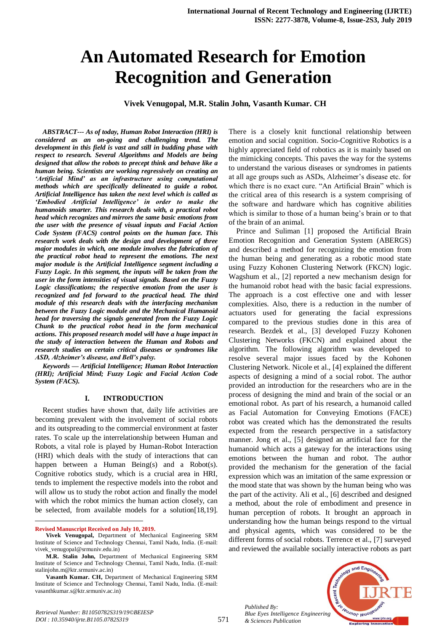# **An Automated Research for Emotion Recognition and Generation**

**Vivek Venugopal, M.R. Stalin John, Vasanth Kumar. CH**

*ABSTRACT--- As of today, Human Robot Interaction (HRI) is considered as an on-going and challenging trend. The development in this field is vast and still in budding phase with respect to research. Several Algorithms and Models are being designed that allow the robots to precept think and behave like a human being. Scientists are working regressively on creating an 'Artificial Mind' as an infrastructure using computational methods which are specifically delineated to guide a robot. Artificial Intelligence has taken the next level which is called as 'Embodied Artificial Intelligence' in order to make the humanoids smarter. This research deals with, a practical robot head which recognizes and mirrors the same basic emotions from the user with the presence of visual inputs and Facial Action Code System (FACS) control points on the human face. This research work deals with the design and development of three major modules in which, one module involves the fabrication of the practical robot head to represent the emotions. The next major module is the Artificial Intelligence segment including a Fuzzy Logic. In this segment, the inputs will be taken from the user in the form intensities of visual signals. Based on the Fuzzy Logic classifications; the respective emotion from the user is recognized and fed forward to the practical head. The third module of this research deals with the interfacing mechanism between the Fuzzy Logic module and the Mechanical Humanoid head for traversing the signals generated from the Fuzzy Logic Chunk to the practical robot head in the form mechanical actions. This proposed research model will have a huge impact in the study of interaction between the Human and Robots and research studies on certain critical diseases or syndromes like ASD, Alzheimer's disease, and Bell's palsy.*

*Keywords — Artificial Intelligence; Human Robot Interaction (HRI); Artificial Mind; Fuzzy Logic and Facial Action Code System (FACS).*

#### **I. INTRODUCTION**

Recent studies have shown that, daily life activities are becoming prevalent with the involvement of social robots and its outspreading to the commercial environment at faster rates. To scale up the interrelationship between Human and Robots, a vital role is played by Human-Robot Interaction (HRI) which deals with the study of interactions that can happen between a Human Being(s) and a Robot(s). Cognitive robotics study, which is a crucial area in HRI, tends to implement the respective models into the robot and will allow us to study the robot action and finally the model with which the robot mimics the human action closely, can be selected, from available models for a solution[18,19].

**Revised Manuscript Received on July 10, 2019.**

 $\overline{a}$ 

There is a closely knit functional relationship between emotion and social cognition. Socio-Cognitive Robotics is a highly appreciated field of robotics as it is mainly based on the mimicking concepts. This paves the way for the systems to understand the various diseases or syndromes in patients at all age groups such as ASDs, Alzheimer's disease etc. for which there is no exact cure. "An Artificial Brain" which is the critical area of this research is a system comprising of the software and hardware which has cognitive abilities which is similar to those of a human being's brain or to that of the brain of an animal.

Prince and Suliman [1] proposed the Artificial Brain Emotion Recognition and Generation System (ABERGS) and described a method for recognizing the emotion from the human being and generating as a robotic mood state using Fuzzy Kohonen Clustering Network (FKCN) logic. Wagshum et al., [2] reported a new mechanism design for the humanoid robot head with the basic facial expressions. The approach is a cost effective one and with lesser complexities. Also, there is a reduction in the number of actuators used for generating the facial expressions compared to the previous studies done in this area of research. Bezdek et al., [3] developed Fuzzy Kohonen Clustering Networks (FKCN) and explained about the algorithm. The following algorithm was developed to resolve several major issues faced by the Kohonen Clustering Network. Nicole et al., [4] explained the different aspects of designing a mind of a social robot. The author provided an introduction for the researchers who are in the process of designing the mind and brain of the social or an emotional robot. As part of his research, a humanoid called as Facial Automation for Conveying Emotions (FACE) robot was created which has the demonstrated the results expected from the research perspective in a satisfactory manner. Jong et al., [5] designed an artificial face for the humanoid which acts a gateway for the interac**t**ions using emotions between the human and robot. The author provided the mechanism for the generation of the facial expression which was an imitation of the same expression or the mood state that was shown by the human being who was the part of the activity. Ali et al., [6] described and designed a method, about the role of embodiment and presence in human perception of robots. It brought an approach in understanding how the human beings respond to the virtual and physical agents, which was considered to be the different forms of social robots. Terrence et al., [7] surveyed and reviewed the available socially interactive robots as part

*Published By: Blue Eyes Intelligence Engineering & Sciences Publication* 



**Vivek Venugopal,** Department of Mechanical Engineering SRM Institute of Science and Technology Chennai, Tamil Nadu, India. (E-mail: vivek\_venugopal@srmuniv.edu.in)

**M.R. Stalin John,** Department of Mechanical Engineering SRM Institute of Science and Technology Chennai, Tamil Nadu, India. (E-mail: stalinjohn.m@ktr.srmuniv.ac.in)

**Vasanth Kumar. CH,** Department of Mechanical Engineering SRM Institute of Science and Technology Chennai, Tamil Nadu, India. (E-mail: vasanthkumar.s@ktr.srmuniv.ac.in)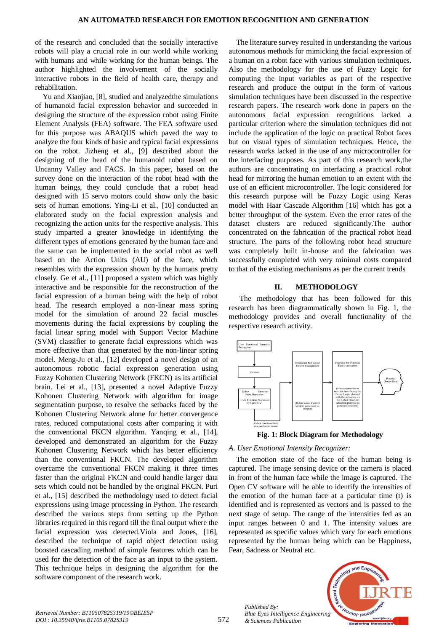of the research and concluded that the socially interactive robots will play a crucial role in our world while working with humans and while working for the human beings. The author highlighted the involvement of the socially interactive robots in the field of health care, therapy and rehabilitation.

Yu and Xiaojiao, [8], studied and analyzedthe simulations of humanoid facial expression behavior and succeeded in designing the structure of the expression robot using Finite Element Analysis (FEA) software. The FEA software used for this purpose was ABAQUS which paved the way to analyze the four kinds of basic and typical facial expressions on the robot. Jizheng et al., [9] described about the designing of the head of the humanoid robot based on Uncanny Valley and FACS. In this paper, based on the survey done on the interaction of the robot head with the human beings, they could conclude that a robot head designed with 15 servo motors could show only the basic sets of human emotions. Ying-Li et al., [10] conducted an elaborated study on the facial expression analysis and recognizing the action units for the respective analysis. This study imparted a greater knowledge in identifying the different types of emotions generated by the human face and the same can be implemented in the social robot as well based on the Action Units (AU) of the face, which resembles with the expression shown by the humans pretty closely. Ge et al., [11] proposed a system which was highly interactive and be responsible for the reconstruction of the facial expression of a human being with the help of robot head. The research employed a non-linear mass spring model for the simulation of around 22 facial muscles movements during the facial expressions by coupling the facial linear spring model with Support Vector Machine (SVM) classifier to generate facial expressions which was more effective than that generated by the non-linear spring model. Meng-Ju et al., [12] developed a novel design of an autonomous robotic facial expression generation using Fuzzy Kohonen Clustering Network (FKCN) as its artificial brain. Lei et al., [13], presented a novel Adaptive Fuzzy Kohonen Clustering Network with algorithm for image segmentation purpose, to resolve the setbacks faced by the Kohonen Clustering Network alone for better convergence rates, reduced computational costs after comparing it with the conventional FKCN algorithm. Yanqing et al., [14], developed and demonstrated an algorithm for the Fuzzy Kohonen Clustering Network which has better efficiency than the conventional FKCN. The developed algorithm overcame the conventional FKCN making it three times faster than the original FKCN and could handle larger data sets which could not be handled by the original FKCN. Puri et al., [15] described the methodology used to detect facial expressions using image processing in Python. The research described the various steps from setting up the Python libraries required in this regard till the final output where the facial expression was detected.Viola and Jones, [16], described the technique of rapid object detection using boosted cascading method of simple features which can be used for the detection of the face as an input to the system. This technique helps in designing the algorithm for the software component of the research work.

The literature survey resulted in understanding the various autonomous methods for mimicking the facial expression of a human on a robot face with various simulation techniques. Also the methodology for the use of Fuzzy Logic for computing the input variables as part of the respective research and produce the output in the form of various simulation techniques have been discussed in the respective research papers. The research work done in papers on the autonomous facial expression recognitions lacked a particular criterion where the simulation techniques did not include the application of the logic on practical Robot faces but on visual types of simulation techniques. Hence, the research works lacked in the use of any microcontroller for the interfacing purposes. As part of this research work,the authors are concentrating on interfacing a practical robot head for mirroring the human emotion to an extent with the use of an efficient microcontroller. The logic considered for this research purpose will be Fuzzy Logic using Keras model with Haar Cascade Algorithm [16] which has got a better throughput of the system. Even the error rates of the dataset clusters are reduced significantly.The author concentrated on the fabrication of the practical robot head structure. The parts of the following robot head structure was completely built in-house and the fabrication was successfully completed with very minimal costs compared to that of the existing mechanisms as per the current trends

## **II. METHODOLOGY**

The methodology that has been followed for this research has been diagrammatically shown in Fig. 1, the methodology provides and overall functionality of the respective research activity.





## *A. User Emotional Intensity Recognizer:*

The emotion state of the face of the human being is captured. The image sensing device or the camera is placed in front of the human face while the image is captured. The Open CV software will be able to identify the intensities of the emotion of the human face at a particular time (t) is identified and is represented as vectors and is passed to the next stage of setup. The range of the intensities fed as an input ranges between 0 and 1. The intensity values are represented as specific values which vary for each emotions represented by the human being which can be Happiness, Fear, Sadness or Neutral etc.



*Published By:*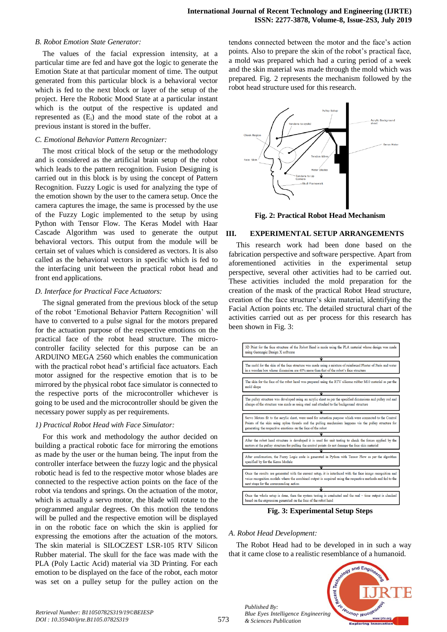#### *B. Robot Emotion State Generator:*

The values of the facial expression intensity, at a particular time are fed and have got the logic to generate the Emotion State at that particular moment of time. The output generated from this particular block is a behavioral vector which is fed to the next block or layer of the setup of the project. Here the Robotic Mood State at a particular instant which is the output of the respective is updated and represented as  $(E_i)$  and the mood state of the robot at a previous instant is stored in the buffer.

#### *C. Emotional Behavior Pattern Recognizer:*

The most critical block of the setup or the methodology and is considered as the artificial brain setup of the robot which leads to the pattern recognition. Fusion Designing is carried out in this block is by using the concept of Pattern Recognition. Fuzzy Logic is used for analyzing the type of the emotion shown by the user to the camera setup. Once the camera captures the image, the same is processed by the use of the Fuzzy Logic implemented to the setup by using Python with Tensor Flow. The Keras Model with Haar Cascade Algorithm was used to generate the output behavioral vectors. This output from the module will be certain set of values which is considered as vectors. It is also called as the behavioral vectors in specific which is fed to the interfacing unit between the practical robot head and front end applications.

#### *D. Interface for Practical Face Actuators:*

The signal generated from the previous block of the setup of the robot 'Emotional Behavior Pattern Recognition' will have to converted to a pulse signal for the motors prepared for the actuation purpose of the respective emotions on the practical face of the robot head structure. The microcontroller facility selected for this purpose can be an ARDUINO MEGA 2560 which enables the communication with the practical robot head's artificial face actuators. Each motor assigned for the respective emotion that is to be mirrored by the physical robot face simulator is connected to the respective ports of the microcontroller whichever is going to be used and the microcontroller should be given the necessary power supply as per requirements.

#### *1) Practical Robot Head with Face Simulator:*

For this work and methodology the author decided on building a practical robotic face for mirroring the emotions as made by the user or the human being. The input from the controller interface between the fuzzy logic and the physical robotic head is fed to the respective motor whose blades are connected to the respective action points on the face of the robot via tendons and springs. On the actuation of the motor, which is actually a servo motor, the blade will rotate to the programmed angular degrees. On this motion the tendons will be pulled and the respective emotion will be displayed in on the robotic face on which the skin is applied for expressing the emotions after the actuation of the motors. The skin material is SILOCZEST LSR-105 RTV Silicon Rubber material. The skull for the face was made with the PLA (Poly Lactic Acid) material via 3D Printing. For each emotion to be displayed on the face of the robot, each motor was set on a pulley setup for the pulley action on the

tendons connected between the motor and the face's action points. Also to prepare the skin of the robot's practical face, a mold was prepared which had a curing period of a week and the skin material was made through the mold which was prepared. Fig. 2 represents the mechanism followed by the robot head structure used for this research.



**Fig. 2: Practical Robot Head Mechanism**

#### **III. EXPERIMENTAL SETUP ARRANGEMENTS**

This research work had been done based on the fabrication perspective and software perspective. Apart from aforementioned activities in the experimental setup perspective, several other activities had to be carried out. These activities included the mold preparation for the creation of the mask of the practical Robot Head structure, creation of the face structure's skin material, identifying the Facial Action points etc. The detailed structural chart of the activities carried out as per process for this research has been shown in Fig. 3:



**Fig. 3: Experimental Setup Steps**

#### *A. Robot Head Development:*

*Published By:*

*& Sciences Publication* 

The Robot Head had to be developed in in such a way that it came close to a realistic resemblance of a humanoid.

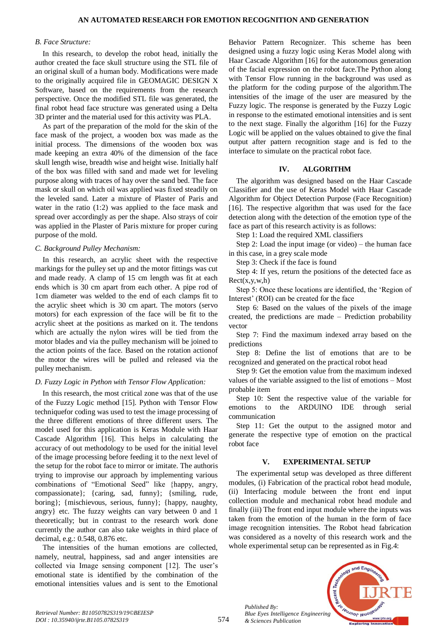#### *B. Face Structure:*

In this research, to develop the robot head, initially the author created the face skull structure using the STL file of an original skull of a human body. Modifications were made to the originally acquired file in GEOMAGIC DESIGN X Software, based on the requirements from the research perspective. Once the modified STL file was generated, the final robot head face structure was generated using a Delta 3D printer and the material used for this activity was PLA.

As part of the preparation of the mold for the skin of the face mask of the project, a wooden box was made as the initial process. The dimensions of the wooden box was made keeping an extra 40% of the dimension of the face skull length wise, breadth wise and height wise. Initially half of the box was filled with sand and made wet for leveling purpose along with traces of hay over the sand bed. The face mask or skull on which oil was applied was fixed steadily on the leveled sand. Later a mixture of Plaster of Paris and water in the ratio (1:2) was applied to the face mask and spread over accordingly as per the shape. Also strays of coir was applied in the Plaster of Paris mixture for proper curing purpose of the mold.

#### *C. Background Pulley Mechanism:*

In this research, an acrylic sheet with the respective markings for the pulley set up and the motor fittings was cut and made ready. A clamp of 15 cm length was fit at each ends which is 30 cm apart from each other. A pipe rod of 1cm diameter was welded to the end of each clamps fit to the acrylic sheet which is 30 cm apart. The motors (servo motors) for each expression of the face will be fit to the acrylic sheet at the positions as marked on it. The tendons which are actually the nylon wires will be tied from the motor blades and via the pulley mechanism will be joined to the action points of the face. Based on the rotation actionof the motor the wires will be pulled and released via the pulley mechanism.

#### *D. Fuzzy Logic in Python with Tensor Flow Application:*

In this research, the most critical zone was that of the use of the Fuzzy Logic method [15]. Python with Tensor Flow techniquefor coding was used to test the image processing of the three different emotions of three different users. The model used for this application is Keras Module with Haar Cascade Algorithm [16]. This helps in calculating the accuracy of out methodology to be used for the initial level of the image processing before feeding it to the next level of the setup for the robot face to mirror or imitate. The authoris trying to improvise our approach by implementing various combinations of "Emotional Seed" like {happy, angry, compassionate}; {caring, sad, funny}; {smiling, rude, boring}; {mischievous, serious, funny}; {happy, naughty, angry} etc. The fuzzy weights can vary between 0 and 1 theoretically; but in contrast to the research work done currently the author can also take weights in third place of decimal, e.g.: 0.548, 0.876 etc.

The intensities of the human emotions are collected, namely, neutral, happiness, sad and anger intensities are collected via Image sensing component [12]. The user's emotional state is identified by the combination of the emotional intensities values and is sent to the Emotional

Behavior Pattern Recognizer. This scheme has been designed using a fuzzy logic using Keras Model along with Haar Cascade Algorithm [16] for the autonomous generation of the facial expression on the robot face.The Python along with Tensor Flow running in the background was used as the platform for the coding purpose of the algorithm.The intensities of the image of the user are measured by the Fuzzy logic. The response is generated by the Fuzzy Logic in response to the estimated emotional intensities and is sent to the next stage. Finally the algorithm [16] for the Fuzzy Logic will be applied on the values obtained to give the final output after pattern recognition stage and is fed to the interface to simulate on the practical robot face.

### **IV. ALGORITHM**

The algorithm was designed based on the Haar Cascade Classifier and the use of Keras Model with Haar Cascade Algorithm for Object Detection Purpose (Face Recognition) [16]. The respective algorithm that was used for the face detection along with the detection of the emotion type of the face as part of this research activity is as follows:

Step 1: Load the required XML classifiers

Step 2: Load the input image (or video) – the human face in this case, in a grey scale mode

Step 3: Check if the face is found

Step 4: If yes, return the positions of the detected face as  $Rect(x,y,w,h)$ 

Step 5: Once these locations are identified, the 'Region of Interest' (ROI) can be created for the face

Step 6: Based on the values of the pixels of the image created, the predictions are made – Prediction probability vector

Step 7: Find the maximum indexed array based on the predictions

Step 8: Define the list of emotions that are to be recognized and generated on the practical robot head

Step 9: Get the emotion value from the maximum indexed values of the variable assigned to the list of emotions – Most probable item

Step 10: Sent the respective value of the variable for emotions to the ARDUINO IDE through serial communication

Step 11: Get the output to the assigned motor and generate the respective type of emotion on the practical robot face

#### **V. EXPERIMENTAL SETUP**

The experimental setup was developed as three different modules, (i) Fabrication of the practical robot head module, (ii) Interfacing module between the front end input collection module and mechanical robot head module and finally (iii) The front end input module where the inputs was taken from the emotion of the human in the form of face image recognition intensities. The Robot head fabrication was considered as a novelty of this research work and the whole experimental setup can be represented as in Fig.4:



*Retrieval Number: B11050782S319/19©BEIESP DOI : 10.35940/ijrte.B1105.0782S319*

*Published By:*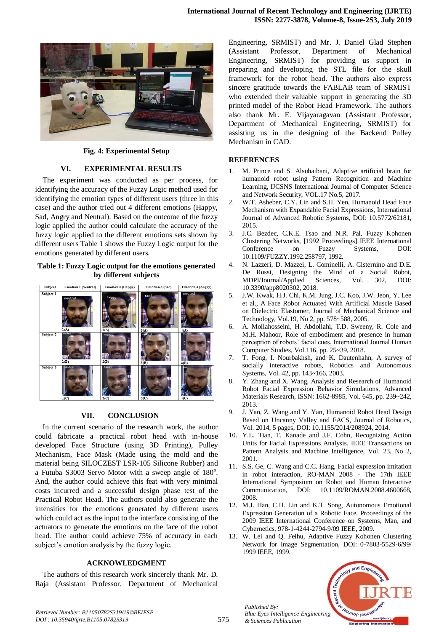

**Fig. 4: Experimental Setup**

## **VI. EXPERIMENTAL RESULTS**

The experiment was conducted as per process, for identifying the accuracy of the Fuzzy Logic method used for identifying the emotion types of different users (three in this case) and the author tried out 4 different emotions (Happy, Sad, Angry and Neutral). Based on the outcome of the fuzzy logic applied the author could calculate the accuracy of the fuzzy logic applied to the different emotions sets shown by different users Table 1 shows the Fuzzy Logic output for the emotions generated by different users.

## **Table 1: Fuzzy Logic output for the emotions generated by different subjects**



## **VII. CONCLUSION**

In the current scenario of the research work, the author could fabricate a practical robot head with in-house developed Face Structure (using 3D Printing), Pulley Mechanism, Face Mask (Made using the mold and the material being SILOCZEST LSR-105 Silicone Rubber) and a Futuba S3003 Servo Motor with a sweep angle of 180°. And, the author could achieve this feat with very minimal costs incurred and a successful design phase test of the Practical Robot Head. The authors could also generate the intensities for the emotions generated by different users which could act as the input to the interface consisting of the actuators to generate the emotions on the face of the robot head. The author could achieve 75% of accuracy in each subject's emotion analysis by the fuzzy logic.

## **ACKNOWLEDGMENT**

The authors of this research work sincerely thank Mr. D. Raja (Assistant Professor, Department of Mechanical Engineering, SRMIST) and Mr. J. Daniel Glad Stephen (Assistant Professor, Department of Mechanical Engineering, SRMIST) for providing us support in preparing and developing the STL file for the skull framework for the robot head. The authors also express sincere gratitude towards the FABLAB team of SRMIST who extended their valuable support in generating the 3D printed model of the Robot Head Framework. The authors also thank Mr. E. Vijayaragavan (Assistant Professor, Department of Mechanical Engineering, SRMIST) for assisting us in the designing of the Backend Pulley Mechanism in CAD.

## **REFERENCES**

- 1. M. Prince and S. Alsuhaibani, Adaptive artificial brain for humanoid robot using Pattern Recognition and Machine Learning, IJCSNS International Journal of Computer Science and Network Security, VOL.17 No.5, 2017.
- 2. W.T. Asheber, C.Y. Lin and S.H. Yen, Humanoid Head Face Mechanism with Expandable Facial Expressions, International Journal of Advanced Robotic Systems, DOI: 10.5772/62181, 2015.
- 3. J.C. Bezdec, C.K.E. Tsao and N.R. Pal, Fuzzy Kohonen Clustering Networks, [1992 Proceedings] IEEE International Conference on Fuzzy Systems, DOI: 10.1109/FUZZY.1992.258797, 1992.
- 4. N. Lazzeri, D. Mazzei, L. Cominelli, A. Cisternino and D.E. De Rossi, Designing the Mind of a Social Robot, MDPI/Journal/Applied Sciences, Vol. 302, DOI: 10.3390/app8020302, 2018.
- 5. J.W. Kwak, H.J. Chi, K.M. Jung, J.C. Koo, J.W. Jeon, Y. Lee et al., A Face Robot Actuated With Artificial Muscle Based on Dielectric Elastomer, Journal of Mechanical Science and Technology, Vol.19, No 2, pp. 578~588, 2005.
- 6. A. Mollahosseini, H. Abdollahi, T.D. Sweeny, R. Cole and M.H. Mahoor, Role of embodiment and presence in human perception of robots' facial cues, International Journal Human Computer Studies, Vol.116, pp. 25~39, 2018.
- 7. T. Fong, I. Nourbakhsh, and K. Dautenhahn, A survey of socially interactive robots, Robotics and Autonomous Systems, Vol. 42, pp. 143~166, 2003.
- 8. Y. Zhang and X. Wang, Analysis and Research of Humanoid Robot Facial Expression Behavior Simulations, Advanced Materials Research, ISSN: 1662-8985, Vol. 645, pp. 239~242, 2013.
- 9. J. Yan, Z. Wang and Y. Yan, Humanoid Robot Head Design Based on Uncanny Valley and FACS, Journal of Robotics, Vol. 2014, 5 pages, DOI: 10.1155/2014/208924, 2014.
- 10. Y.L. Tian, T. Kanade and J.F. Cohn, Recognizing Action Units for Facial Expressions Analysis, IEEE Transactions on Pattern Analysis and Machine Intelligence, Vol. 23, No 2, 2001.
- 11. S.S. Ge, C. Wang and C.C. Hang, Facial expression imitation in robot interaction, RO-MAN 2008 - The 17th IEEE International Symposium on Robot and Human Interactive Communication, DOI: 10.1109/ROMAN.2008.4600668, 2008.
- 12. M.J. Han, C.H. Lin and K.T. Song, Autonomous Emotional Expression Generation of a Robotic Face, Proceedings of the 2009 IEEE International Conference on Systems, Man, and Cybernetics, 978-1-4244-2794-9/09 IEEE, 2009.
- 13. W. Lei and Q. Feihu, Adaptive Fuzzy Kohonen Clustering Network for Image Segmentation, DOI: 0-7803-5529-6/99/ 1999 IEEE, 1999.



*Published By:*